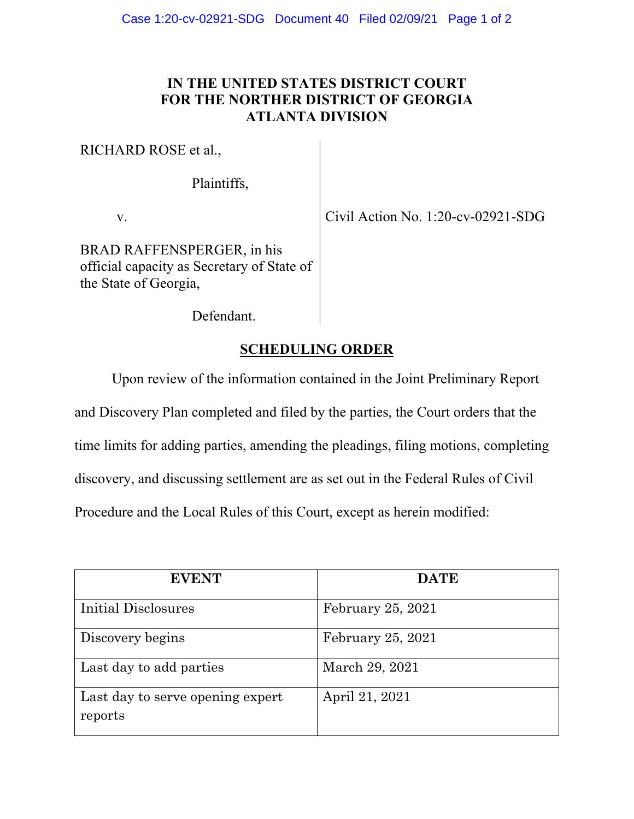## **IN THE UNITED STATES DISTRICT COURT FOR THE NORTHER DISTRICT OF GEORGIA ATLANTA DIVISION**

RICHARD ROSE et al.,

Plaintiffs,

v. Civil Action No. 1:20-cv-02921-SDG

BRAD RAFFENSPERGER, in his official capacity as Secretary of State of the State of Georgia,

Defendant.

## **SCHEDULING ORDER**

Upon review of the information contained in the Joint Preliminary Report

and Discovery Plan completed and filed by the parties, the Court orders that the

time limits for adding parties, amending the pleadings, filing motions, completing

discovery, and discussing settlement are as set out in the Federal Rules of Civil

Procedure and the Local Rules of this Court, except as herein modified:

| <b>EVENT</b>                                | <b>DATE</b>       |
|---------------------------------------------|-------------------|
| Initial Disclosures                         | February 25, 2021 |
| Discovery begins                            | February 25, 2021 |
| Last day to add parties                     | March 29, 2021    |
| Last day to serve opening expert<br>reports | April 21, 2021    |